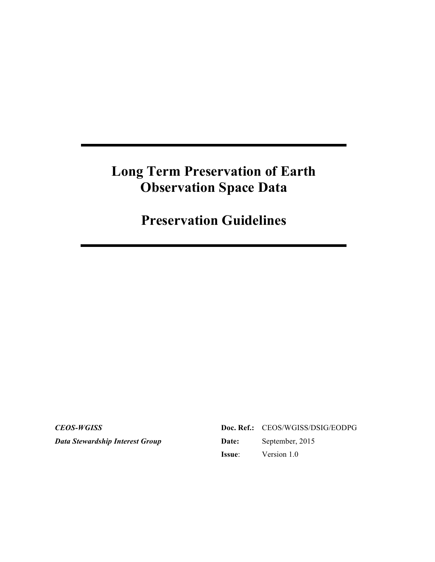# **Long Term Preservation of Earth Observation Space Data**

**Preservation Guidelines**

*CEOS-WGISS Data Stewardship Interest Group*

|        | Doc. Ref.: CEOS/WGISS/DSIG/EODPG |
|--------|----------------------------------|
| Date:  | September, 2015                  |
| Issue: | Version 1.0                      |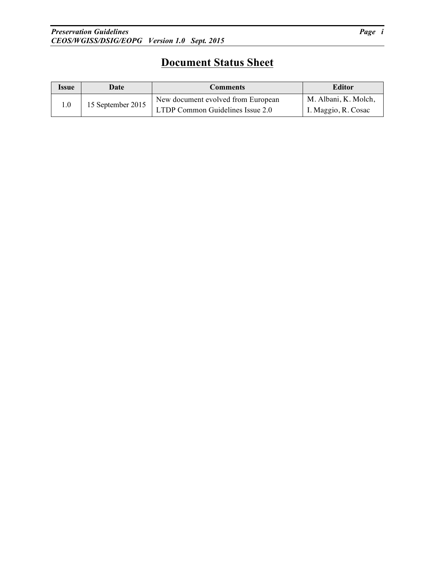# **Document Status Sheet**

| Issue | Date              | <b>Comments</b>                                                        | <b>Editor</b>                               |  |
|-------|-------------------|------------------------------------------------------------------------|---------------------------------------------|--|
| 0.1   | 15 September 2015 | New document evolved from European<br>LTDP Common Guidelines Issue 2.0 | M. Albani, K. Molch,<br>I. Maggio, R. Cosac |  |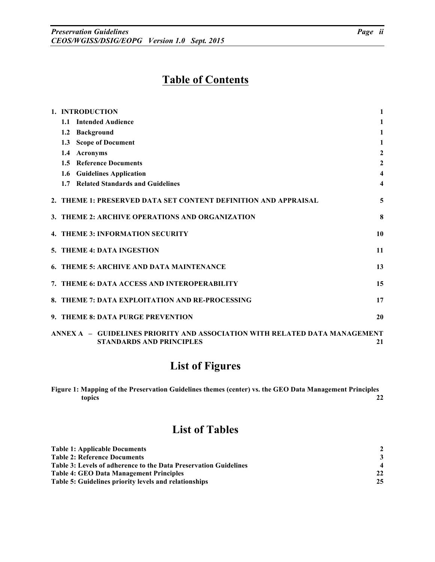# **Table of Contents**

| 1. INTRODUCTION                                                            | 1                |
|----------------------------------------------------------------------------|------------------|
| <b>Intended Audience</b><br>1.1                                            | 1                |
| <b>Background</b><br>1.2                                                   | $\mathbf{1}$     |
| 1.3 Scope of Document                                                      | 1                |
| <b>Acronyms</b><br>$1.4^{\circ}$                                           | $\mathbf{2}$     |
| 1.5 Reference Documents                                                    | $\boldsymbol{2}$ |
| 1.6 Guidelines Application                                                 | 4                |
| <b>Related Standards and Guidelines</b><br>1.7                             | 4                |
| 2. THEME 1: PRESERVED DATA SET CONTENT DEFINITION AND APPRAISAL            | 5                |
| 3. THEME 2: ARCHIVE OPERATIONS AND ORGANIZATION                            | 8                |
| <b>4. THEME 3: INFORMATION SECURITY</b>                                    | 10               |
| 5. THEME 4: DATA INGESTION                                                 | 11               |
| 6. THEME 5: ARCHIVE AND DATA MAINTENANCE                                   | 13               |
| 7. THEME 6: DATA ACCESS AND INTEROPERABILITY                               | 15               |
| 8. THEME 7: DATA EXPLOITATION AND RE-PROCESSING                            | 17               |
| 9. THEME 8: DATA PURGE PREVENTION                                          | 20               |
| ANNEX A - GUIDELINES PRIORITY AND ASSOCIATION WITH RELATED DATA MANAGEMENT |                  |
| <b>STANDARDS AND PRINCIPLES</b>                                            | 21               |

# **List of Figures**

**Figure 1: Mapping of the Preservation Guidelines themes (center) vs. the GEO Data Management Principles topics 22**

# **List of Tables**

| <b>Table 1: Applicable Documents</b>                             |    |
|------------------------------------------------------------------|----|
| <b>Table 2: Reference Documents</b>                              |    |
| Table 3: Levels of adherence to the Data Preservation Guidelines |    |
| <b>Table 4: GEO Data Management Principles</b>                   | 22 |
| <b>Table 5: Guidelines priority levels and relationships</b>     | 25 |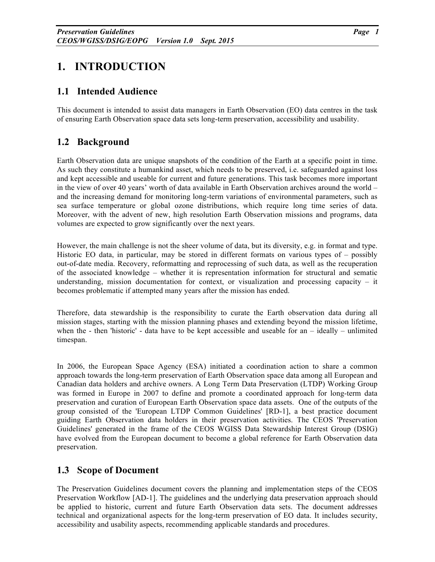# **1. INTRODUCTION**

### **1.1 Intended Audience**

This document is intended to assist data managers in Earth Observation (EO) data centres in the task of ensuring Earth Observation space data sets long-term preservation, accessibility and usability.

# **1.2 Background**

Earth Observation data are unique snapshots of the condition of the Earth at a specific point in time. As such they constitute a humankind asset, which needs to be preserved, i.e. safeguarded against loss and kept accessible and useable for current and future generations. This task becomes more important in the view of over 40 years' worth of data available in Earth Observation archives around the world – and the increasing demand for monitoring long-term variations of environmental parameters, such as sea surface temperature or global ozone distributions, which require long time series of data. Moreover, with the advent of new, high resolution Earth Observation missions and programs, data volumes are expected to grow significantly over the next years.

However, the main challenge is not the sheer volume of data, but its diversity, e.g. in format and type. Historic EO data, in particular, may be stored in different formats on various types of – possibly out-of-date media. Recovery, reformatting and reprocessing of such data, as well as the recuperation of the associated knowledge – whether it is representation information for structural and sematic understanding, mission documentation for context, or visualization and processing capacity  $-$  it becomes problematic if attempted many years after the mission has ended.

Therefore, data stewardship is the responsibility to curate the Earth observation data during all mission stages, starting with the mission planning phases and extending beyond the mission lifetime, when the - then 'historic' - data have to be kept accessible and useable for an  $-$  ideally  $-$  unlimited timespan.

In 2006, the European Space Agency (ESA) initiated a coordination action to share a common approach towards the long-term preservation of Earth Observation space data among all European and Canadian data holders and archive owners. A Long Term Data Preservation (LTDP) Working Group was formed in Europe in 2007 to define and promote a coordinated approach for long-term data preservation and curation of European Earth Observation space data assets. One of the outputs of the group consisted of the 'European LTDP Common Guidelines' [RD-1], a best practice document guiding Earth Observation data holders in their preservation activities. The CEOS 'Preservation Guidelines' generated in the frame of the CEOS WGISS Data Stewardship Interest Group (DSIG) have evolved from the European document to become a global reference for Earth Observation data preservation.

# **1.3 Scope of Document**

The Preservation Guidelines document covers the planning and implementation steps of the CEOS Preservation Workflow [AD-1]. The guidelines and the underlying data preservation approach should be applied to historic, current and future Earth Observation data sets. The document addresses technical and organizational aspects for the long-term preservation of EO data. It includes security, accessibility and usability aspects, recommending applicable standards and procedures.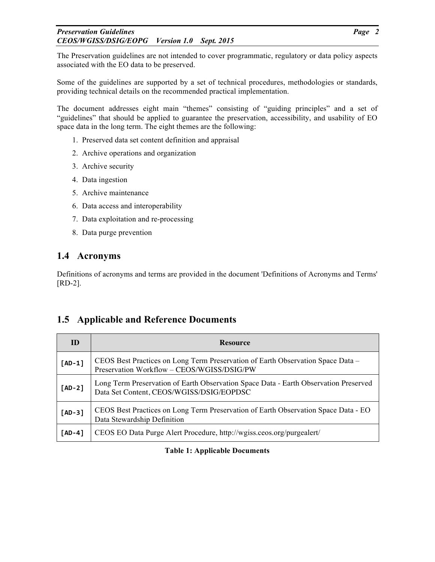#### *Preservation Guidelines Page 2 CEOS/WGISS/DSIG/EOPG Version 1.0 Sept. 2015*

The Preservation guidelines are not intended to cover programmatic, regulatory or data policy aspects associated with the EO data to be preserved.

Some of the guidelines are supported by a set of technical procedures, methodologies or standards, providing technical details on the recommended practical implementation.

The document addresses eight main "themes" consisting of "guiding principles" and a set of "guidelines" that should be applied to guarantee the preservation, accessibility, and usability of EO space data in the long term. The eight themes are the following:

- 1. Preserved data set content definition and appraisal
- 2. Archive operations and organization
- 3. Archive security
- 4. Data ingestion
- 5. Archive maintenance
- 6. Data access and interoperability
- 7. Data exploitation and re-processing
- 8. Data purge prevention

### **1.4 Acronyms**

Definitions of acronyms and terms are provided in the document 'Definitions of Acronyms and Terms' [RD-2].

# **1.5 Applicable and Reference Documents**

| ID       | <b>Resource</b>                                                                                                                  |
|----------|----------------------------------------------------------------------------------------------------------------------------------|
| $[AD-1]$ | CEOS Best Practices on Long Term Preservation of Earth Observation Space Data -<br>Preservation Workflow - CEOS/WGISS/DSIG/PW    |
| $[AD-2]$ | Long Term Preservation of Earth Observation Space Data - Earth Observation Preserved<br>Data Set Content, CEOS/WGISS/DSIG/EOPDSC |
| $[AD-3]$ | CEOS Best Practices on Long Term Preservation of Earth Observation Space Data - EO<br>Data Stewardship Definition                |
| $[AD-4]$ | CEOS EO Data Purge Alert Procedure, http://wgiss.ceos.org/purgealert/                                                            |

**Table 1: Applicable Documents**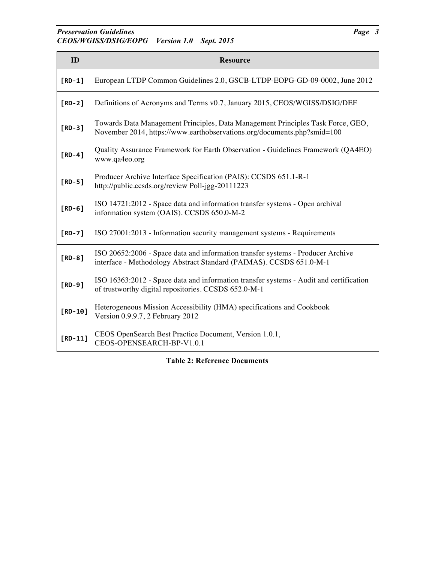### **Preservation Guidelines** *Page 3 CEOS/WGISS/DSIG/EOPG Version 1.0 Sept. 2015*

| ID        | <b>Resource</b>                                                                                                                                            |
|-----------|------------------------------------------------------------------------------------------------------------------------------------------------------------|
| $[RD-1]$  | European LTDP Common Guidelines 2.0, GSCB-LTDP-EOPG-GD-09-0002, June 2012                                                                                  |
| $[RD-2]$  | Definitions of Acronyms and Terms v0.7, January 2015, CEOS/WGISS/DSIG/DEF                                                                                  |
| $[RD-3]$  | Towards Data Management Principles, Data Management Principles Task Force, GEO,<br>November 2014, https://www.earthobservations.org/documents.php?smid=100 |
| $[RD-4]$  | Quality Assurance Framework for Earth Observation - Guidelines Framework (QA4EO)<br>www.qa4eo.org                                                          |
| $[RD-5]$  | Producer Archive Interface Specification (PAIS): CCSDS 651.1-R-1<br>http://public.ccsds.org/review Poll-jgg-20111223                                       |
| $[RD-6]$  | ISO 14721:2012 - Space data and information transfer systems - Open archival<br>information system (OAIS). CCSDS 650.0-M-2                                 |
| $[RD-7]$  | ISO 27001:2013 - Information security management systems - Requirements                                                                                    |
| $[RD-8]$  | ISO 20652:2006 - Space data and information transfer systems - Producer Archive<br>interface - Methodology Abstract Standard (PAIMAS). CCSDS 651.0-M-1     |
| $[RD-9]$  | ISO 16363:2012 - Space data and information transfer systems - Audit and certification<br>of trustworthy digital repositories. CCSDS 652.0-M-1             |
| $[RD-10]$ | Heterogeneous Mission Accessibility (HMA) specifications and Cookbook<br>Version 0.9.9.7, 2 February 2012                                                  |
| $[RD-11]$ | CEOS OpenSearch Best Practice Document, Version 1.0.1,<br>CEOS-OPENSEARCH-BP-V1.0.1                                                                        |

**Table 2: Reference Documents**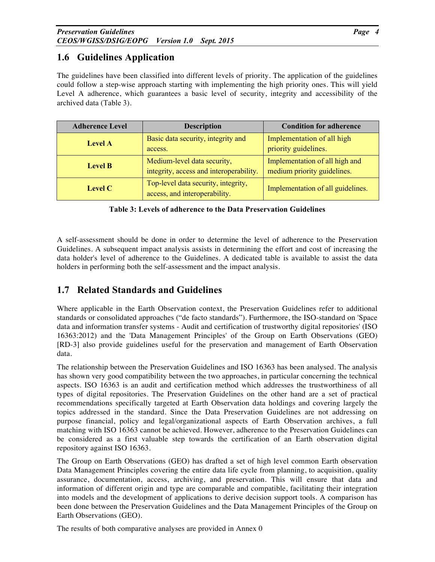# **1.6 Guidelines Application**

The guidelines have been classified into different levels of priority. The application of the guidelines could follow a step-wise approach starting with implementing the high priority ones. This will yield Level A adherence, which guarantees a basic level of security, integrity and accessibility of the archived data (Table 3).

| <b>Adherence Level</b> | <b>Description</b>                      | <b>Condition for adherence</b>    |  |
|------------------------|-----------------------------------------|-----------------------------------|--|
| <b>Level A</b>         | Basic data security, integrity and      | Implementation of all high        |  |
|                        | access.                                 | priority guidelines.              |  |
| <b>Level B</b>         | Medium-level data security,             | Implementation of all high and    |  |
|                        | integrity, access and interoperability. | medium priority guidelines.       |  |
| Level C                | Top-level data security, integrity,     | Implementation of all guidelines. |  |
|                        | access, and interoperability.           |                                   |  |

**Table 3: Levels of adherence to the Data Preservation Guidelines**

A self-assessment should be done in order to determine the level of adherence to the Preservation Guidelines. A subsequent impact analysis assists in determining the effort and cost of increasing the data holder's level of adherence to the Guidelines. A dedicated table is available to assist the data holders in performing both the self-assessment and the impact analysis.

# **1.7 Related Standards and Guidelines**

Where applicable in the Earth Observation context, the Preservation Guidelines refer to additional standards or consolidated approaches ("de facto standards"). Furthermore, the ISO-standard on 'Space data and information transfer systems - Audit and certification of trustworthy digital repositories' (ISO 16363:2012) and the 'Data Management Principles' of the Group on Earth Observations (GEO) [RD-3] also provide guidelines useful for the preservation and management of Earth Observation data.

The relationship between the Preservation Guidelines and ISO 16363 has been analysed. The analysis has shown very good compatibility between the two approaches, in particular concerning the technical aspects. ISO 16363 is an audit and certification method which addresses the trustworthiness of all types of digital repositories. The Preservation Guidelines on the other hand are a set of practical recommendations specifically targeted at Earth Observation data holdings and covering largely the topics addressed in the standard. Since the Data Preservation Guidelines are not addressing on purpose financial, policy and legal/organizational aspects of Earth Observation archives, a full matching with ISO 16363 cannot be achieved. However, adherence to the Preservation Guidelines can be considered as a first valuable step towards the certification of an Earth observation digital repository against ISO 16363.

The Group on Earth Observations (GEO) has drafted a set of high level common Earth observation Data Management Principles covering the entire data life cycle from planning, to acquisition, quality assurance, documentation, access, archiving, and preservation. This will ensure that data and information of different origin and type are comparable and compatible, facilitating their integration into models and the development of applications to derive decision support tools. A comparison has been done between the Preservation Guidelines and the Data Management Principles of the Group on Earth Observations (GEO).

The results of both comparative analyses are provided in Annex 0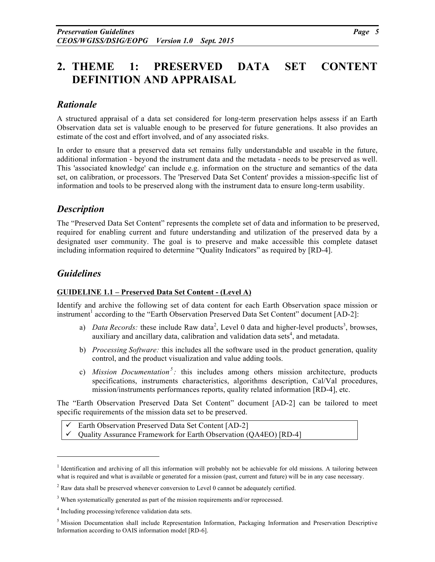# **2. THEME 1: PRESERVED DATA SET CONTENT DEFINITION AND APPRAISAL**

# *Rationale*

A structured appraisal of a data set considered for long-term preservation helps assess if an Earth Observation data set is valuable enough to be preserved for future generations. It also provides an estimate of the cost and effort involved, and of any associated risks.

In order to ensure that a preserved data set remains fully understandable and useable in the future, additional information - beyond the instrument data and the metadata - needs to be preserved as well. This 'associated knowledge' can include e.g. information on the structure and semantics of the data set, on calibration, or processors. The 'Preserved Data Set Content' provides a mission-specific list of information and tools to be preserved along with the instrument data to ensure long-term usability.

### *Description*

The "Preserved Data Set Content" represents the complete set of data and information to be preserved, required for enabling current and future understanding and utilization of the preserved data by a designated user community. The goal is to preserve and make accessible this complete dataset including information required to determine "Quality Indicators" as required by [RD-4].

### *Guidelines*

<u>.</u>

#### **GUIDELINE 1.1 – Preserved Data Set Content - (Level A)**

Identify and archive the following set of data content for each Earth Observation space mission or instrument<sup>1</sup> according to the "Earth Observation Preserved Data Set Content" document [AD-2]:

- a) *Data Records:* these include Raw data<sup>2</sup>, Level 0 data and higher-level products<sup>3</sup>, browses, auxiliary and ancillary data, calibration and validation data sets<sup>4</sup>, and metadata.
- b) *Processing Software:* this includes all the software used in the product generation, quality control, and the product visualization and value adding tools.
- c) *Mission Documentation<sup>5</sup> :* this includes among others mission architecture, products specifications, instruments characteristics, algorithms description, Cal/Val procedures, mission/instruments performances reports, quality related information [RD-4], etc.

The "Earth Observation Preserved Data Set Content" document [AD-2] can be tailored to meet specific requirements of the mission data set to be preserved.

Earth Observation Preserved Data Set Content [AD-2]

! Quality Assurance Framework for Earth Observation (QA4EO) [RD-4]

<sup>&</sup>lt;sup>1</sup> Identification and archiving of all this information will probably not be achievable for old missions. A tailoring between what is required and what is available or generated for a mission (past, current and future) will be in any case necessary.

 $2$  Raw data shall be preserved whenever conversion to Level 0 cannot be adequately certified.

<sup>&</sup>lt;sup>3</sup> When systematically generated as part of the mission requirements and/or reprocessed.

<sup>4</sup> Including processing/reference validation data sets.

<sup>5</sup> Mission Documentation shall include Representation Information, Packaging Information and Preservation Descriptive Information according to OAIS information model [RD-6].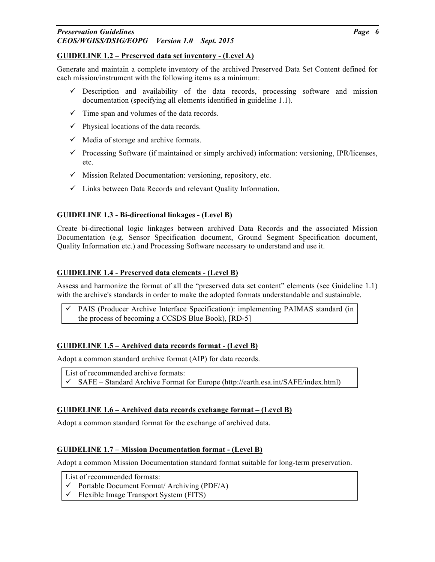#### *Preservation Guidelines Page 6 CEOS/WGISS/DSIG/EOPG Version 1.0 Sept. 2015*

#### **GUIDELINE 1.2 – Preserved data set inventory - (Level A)**

Generate and maintain a complete inventory of the archived Preserved Data Set Content defined for each mission/instrument with the following items as a minimum:

- $\checkmark$  Description and availability of the data records, processing software and mission documentation (specifying all elements identified in guideline 1.1).
- $\checkmark$  Time span and volumes of the data records.
- $\checkmark$  Physical locations of the data records.
- $\checkmark$  Media of storage and archive formats.
- $\checkmark$  Processing Software (if maintained or simply archived) information: versioning, IPR/licenses, etc.
- $\checkmark$  Mission Related Documentation: versioning, repository, etc.
- $\checkmark$  Links between Data Records and relevant Quality Information.

#### **GUIDELINE 1.3 - Bi-directional linkages - (Level B)**

Create bi-directional logic linkages between archived Data Records and the associated Mission Documentation (e.g. Sensor Specification document, Ground Segment Specification document, Quality Information etc.) and Processing Software necessary to understand and use it.

#### **GUIDELINE 1.4 - Preserved data elements - (Level B)**

Assess and harmonize the format of all the "preserved data set content" elements (see Guideline 1.1) with the archive's standards in order to make the adopted formats understandable and sustainable.

! PAIS (Producer Archive Interface Specification): implementing PAIMAS standard (in the process of becoming a CCSDS Blue Book), [RD-5]

#### **GUIDELINE 1.5 – Archived data records format - (Level B)**

Adopt a common standard archive format (AIP) for data records.

List of recommended archive formats:  $\checkmark$  SAFE – Standard Archive Format for Europe (http://earth.esa.int/SAFE/index.html)

#### **GUIDELINE 1.6 – Archived data records exchange format – (Level B)**

Adopt a common standard format for the exchange of archived data.

#### **GUIDELINE 1.7 – Mission Documentation format - (Level B)**

Adopt a common Mission Documentation standard format suitable for long-term preservation.

- List of recommended formats:
- $\checkmark$  Portable Document Format/ Archiving (PDF/A)
- ! Flexible Image Transport System (FITS)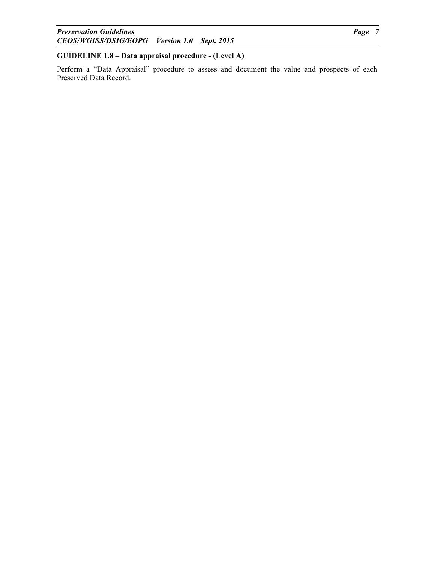#### **GUIDELINE 1.8 – Data appraisal procedure - (Level A)**

Perform a "Data Appraisal" procedure to assess and document the value and prospects of each Preserved Data Record.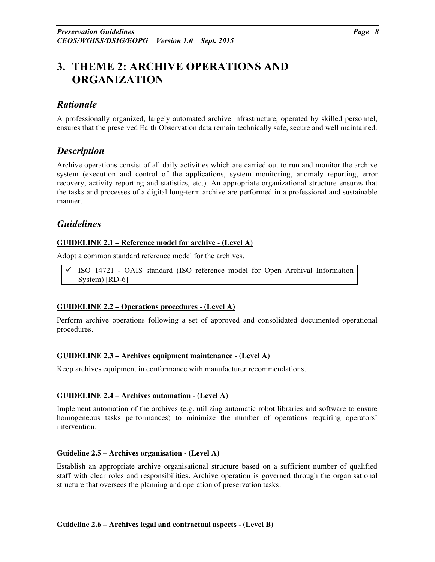# **3. THEME 2: ARCHIVE OPERATIONS AND ORGANIZATION**

# *Rationale*

A professionally organized, largely automated archive infrastructure, operated by skilled personnel, ensures that the preserved Earth Observation data remain technically safe, secure and well maintained.

### *Description*

Archive operations consist of all daily activities which are carried out to run and monitor the archive system (execution and control of the applications, system monitoring, anomaly reporting, error recovery, activity reporting and statistics, etc.). An appropriate organizational structure ensures that the tasks and processes of a digital long-term archive are performed in a professional and sustainable manner.

### *Guidelines*

#### **GUIDELINE 2.1 – Reference model for archive - (Level A)**

Adopt a common standard reference model for the archives.

 $\checkmark$  ISO 14721 - OAIS standard (ISO reference model for Open Archival Information System) [RD-6]

#### **GUIDELINE 2.2 – Operations procedures - (Level A)**

Perform archive operations following a set of approved and consolidated documented operational procedures.

#### **GUIDELINE 2.3 – Archives equipment maintenance - (Level A)**

Keep archives equipment in conformance with manufacturer recommendations.

#### **GUIDELINE 2.4 – Archives automation - (Level A)**

Implement automation of the archives (e.g. utilizing automatic robot libraries and software to ensure homogeneous tasks performances) to minimize the number of operations requiring operators' intervention.

#### **Guideline 2.5 – Archives organisation - (Level A)**

Establish an appropriate archive organisational structure based on a sufficient number of qualified staff with clear roles and responsibilities. Archive operation is governed through the organisational structure that oversees the planning and operation of preservation tasks.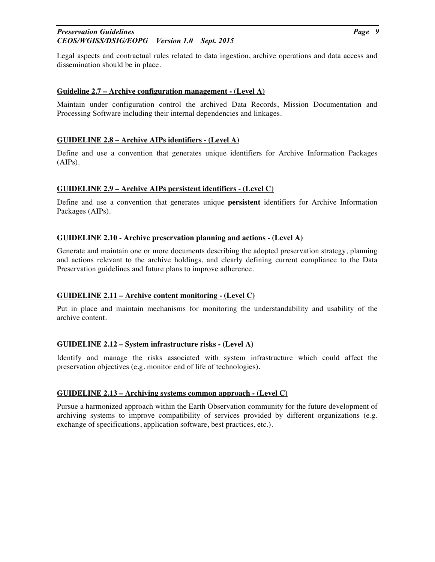#### *Preservation Guidelines Page 9 CEOS/WGISS/DSIG/EOPG Version 1.0 Sept. 2015*

Legal aspects and contractual rules related to data ingestion, archive operations and data access and dissemination should be in place.

#### **Guideline 2.7 – Archive configuration management - (Level A)**

Maintain under configuration control the archived Data Records, Mission Documentation and Processing Software including their internal dependencies and linkages.

#### **GUIDELINE 2.8 – Archive AIPs identifiers - (Level A)**

Define and use a convention that generates unique identifiers for Archive Information Packages (AIPs).

#### **GUIDELINE 2.9 – Archive AIPs persistent identifiers - (Level C)**

Define and use a convention that generates unique **persistent** identifiers for Archive Information Packages (AIPs).

#### **GUIDELINE 2.10 - Archive preservation planning and actions - (Level A)**

Generate and maintain one or more documents describing the adopted preservation strategy, planning and actions relevant to the archive holdings, and clearly defining current compliance to the Data Preservation guidelines and future plans to improve adherence.

#### **GUIDELINE 2.11 – Archive content monitoring - (Level C)**

Put in place and maintain mechanisms for monitoring the understandability and usability of the archive content.

#### **GUIDELINE 2.12 – System infrastructure risks - (Level A)**

Identify and manage the risks associated with system infrastructure which could affect the preservation objectives (e.g. monitor end of life of technologies).

#### **GUIDELINE 2.13 – Archiving systems common approach - (Level C)**

Pursue a harmonized approach within the Earth Observation community for the future development of archiving systems to improve compatibility of services provided by different organizations (e.g. exchange of specifications, application software, best practices, etc.).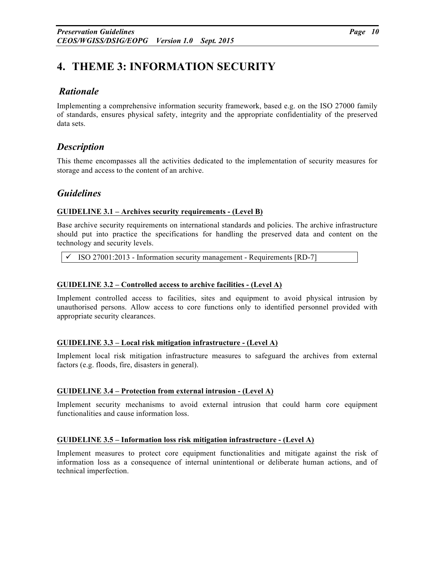# **4. THEME 3: INFORMATION SECURITY**

### *Rationale*

Implementing a comprehensive information security framework, based e.g. on the ISO 27000 family of standards, ensures physical safety, integrity and the appropriate confidentiality of the preserved data sets.

# *Description*

This theme encompasses all the activities dedicated to the implementation of security measures for storage and access to the content of an archive.

# *Guidelines*

#### **GUIDELINE 3.1 – Archives security requirements - (Level B)**

Base archive security requirements on international standards and policies. The archive infrastructure should put into practice the specifications for handling the preserved data and content on the technology and security levels.

! ISO 27001:2013 - Information security management - Requirements [RD-7]

#### **GUIDELINE 3.2 – Controlled access to archive facilities - (Level A)**

Implement controlled access to facilities, sites and equipment to avoid physical intrusion by unauthorised persons. Allow access to core functions only to identified personnel provided with appropriate security clearances.

#### **GUIDELINE 3.3 – Local risk mitigation infrastructure - (Level A)**

Implement local risk mitigation infrastructure measures to safeguard the archives from external factors (e.g. floods, fire, disasters in general).

#### **GUIDELINE 3.4 – Protection from external intrusion - (Level A)**

Implement security mechanisms to avoid external intrusion that could harm core equipment functionalities and cause information loss.

#### **GUIDELINE 3.5 – Information loss risk mitigation infrastructure - (Level A)**

Implement measures to protect core equipment functionalities and mitigate against the risk of information loss as a consequence of internal unintentional or deliberate human actions, and of technical imperfection.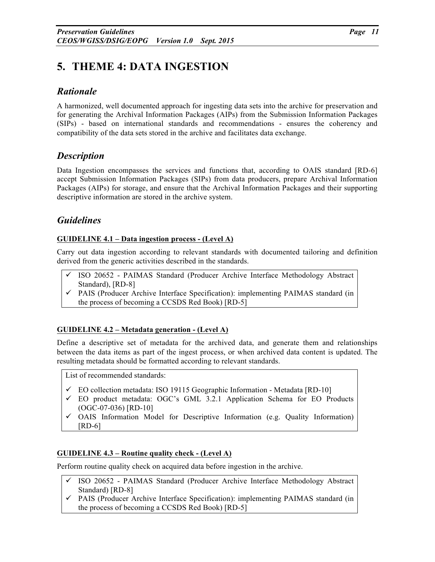# **5. THEME 4: DATA INGESTION**

# *Rationale*

A harmonized, well documented approach for ingesting data sets into the archive for preservation and for generating the Archival Information Packages (AIPs) from the Submission Information Packages (SIPs) - based on international standards and recommendations - ensures the coherency and compatibility of the data sets stored in the archive and facilitates data exchange.

# *Description*

Data Ingestion encompasses the services and functions that, according to OAIS standard [RD-6] accept Submission Information Packages (SIPs) from data producers, prepare Archival Information Packages (AIPs) for storage, and ensure that the Archival Information Packages and their supporting descriptive information are stored in the archive system.

# *Guidelines*

### **GUIDELINE 4.1 – Data ingestion process - (Level A)**

Carry out data ingestion according to relevant standards with documented tailoring and definition derived from the generic activities described in the standards.

- ! ISO 20652 PAIMAS Standard (Producer Archive Interface Methodology Abstract Standard), [RD-8]
- $\checkmark$  PAIS (Producer Archive Interface Specification): implementing PAIMAS standard (in the process of becoming a CCSDS Red Book) [RD-5]

### **GUIDELINE 4.2 – Metadata generation - (Level A)**

Define a descriptive set of metadata for the archived data, and generate them and relationships between the data items as part of the ingest process, or when archived data content is updated. The resulting metadata should be formatted according to relevant standards.

List of recommended standards:

- $\checkmark$  EO collection metadata: ISO 19115 Geographic Information Metadata [RD-10]
- ! EO product metadata: OGC's GML 3.2.1 Application Schema for EO Products (OGC-07-036) [RD-10]
- $\checkmark$  OAIS Information Model for Descriptive Information (e.g. Quality Information) [RD-6]

#### **GUIDELINE 4.3 – Routine quality check - (Level A)**

Perform routine quality check on acquired data before ingestion in the archive.

- $\checkmark$  ISO 20652 PAIMAS Standard (Producer Archive Interface Methodology Abstract Standard) [RD-8]
- $\checkmark$  PAIS (Producer Archive Interface Specification): implementing PAIMAS standard (in the process of becoming a CCSDS Red Book) [RD-5]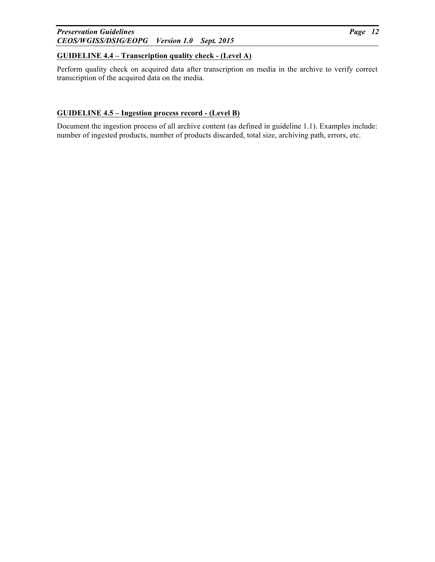#### *Preservation Guidelines Page 12 CEOS/WGISS/DSIG/EOPG Version 1.0 Sept. 2015*

#### **GUIDELINE 4.4 – Transcription quality check - (Level A)**

Perform quality check on acquired data after transcription on media in the archive to verify correct transcription of the acquired data on the media.

#### **GUIDELINE 4.5 – Ingestion process record - (Level B)**

Document the ingestion process of all archive content (as defined in guideline 1.1). Examples include: number of ingested products, number of products discarded, total size, archiving path, errors, etc.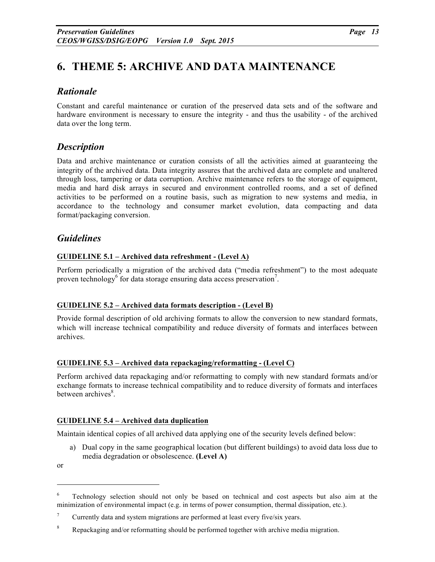# **6. THEME 5: ARCHIVE AND DATA MAINTENANCE**

# *Rationale*

Constant and careful maintenance or curation of the preserved data sets and of the software and hardware environment is necessary to ensure the integrity - and thus the usability - of the archived data over the long term.

# *Description*

Data and archive maintenance or curation consists of all the activities aimed at guaranteeing the integrity of the archived data. Data integrity assures that the archived data are complete and unaltered through loss, tampering or data corruption. Archive maintenance refers to the storage of equipment, media and hard disk arrays in secured and environment controlled rooms, and a set of defined activities to be performed on a routine basis, such as migration to new systems and media, in accordance to the technology and consumer market evolution, data compacting and data format/packaging conversion.

### *Guidelines*

#### **GUIDELINE 5.1 – Archived data refreshment - (Level A)**

Perform periodically a migration of the archived data ("media refreshment") to the most adequate proven technology<sup>6</sup> for data storage ensuring data access preservation<sup>7</sup>.

#### **GUIDELINE 5.2 – Archived data formats description - (Level B)**

Provide formal description of old archiving formats to allow the conversion to new standard formats, which will increase technical compatibility and reduce diversity of formats and interfaces between archives.

#### **GUIDELINE 5.3 – Archived data repackaging/reformatting - (Level C)**

Perform archived data repackaging and/or reformatting to comply with new standard formats and/or exchange formats to increase technical compatibility and to reduce diversity of formats and interfaces between archives<sup>8</sup>.

#### **GUIDELINE 5.4 – Archived data duplication**

Maintain identical copies of all archived data applying one of the security levels defined below:

a) Dual copy in the same geographical location (but different buildings) to avoid data loss due to media degradation or obsolescence. **(Level A)**

or

<u>.</u>

<sup>&</sup>lt;sup>6</sup> Technology selection should not only be based on technical and cost aspects but also aim at the minimization of environmental impact (e.g. in terms of power consumption, thermal dissipation, etc.).

<sup>&</sup>lt;sup>7</sup> Currently data and system migrations are performed at least every five/six years.

<sup>&</sup>lt;sup>8</sup> Repackaging and/or reformatting should be performed together with archive media migration.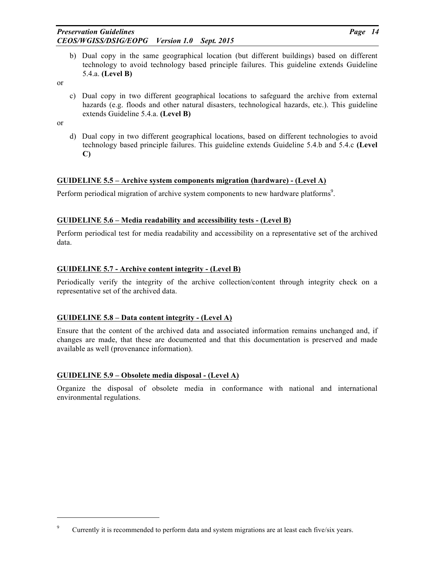b) Dual copy in the same geographical location (but different buildings) based on different technology to avoid technology based principle failures. This guideline extends Guideline 5.4.a. **(Level B)**

or

c) Dual copy in two different geographical locations to safeguard the archive from external hazards (e.g. floods and other natural disasters, technological hazards, etc.). This guideline extends Guideline 5.4.a. **(Level B)**

or

-

d) Dual copy in two different geographical locations, based on different technologies to avoid technology based principle failures. This guideline extends Guideline 5.4.b and 5.4.c **(Level C)**

#### **GUIDELINE 5.5 – Archive system components migration (hardware) - (Level A)**

Perform periodical migration of archive system components to new hardware platforms<sup>9</sup>.

#### **GUIDELINE 5.6 – Media readability and accessibility tests - (Level B)**

Perform periodical test for media readability and accessibility on a representative set of the archived data.

#### **GUIDELINE 5.7 - Archive content integrity - (Level B)**

Periodically verify the integrity of the archive collection/content through integrity check on a representative set of the archived data.

#### **GUIDELINE 5.8 – Data content integrity - (Level A)**

Ensure that the content of the archived data and associated information remains unchanged and, if changes are made, that these are documented and that this documentation is preserved and made available as well (provenance information).

#### **GUIDELINE 5.9 – Obsolete media disposal - (Level A)**

Organize the disposal of obsolete media in conformance with national and international environmental regulations.

<sup>&</sup>lt;sup>9</sup> Currently it is recommended to perform data and system migrations are at least each five/six years.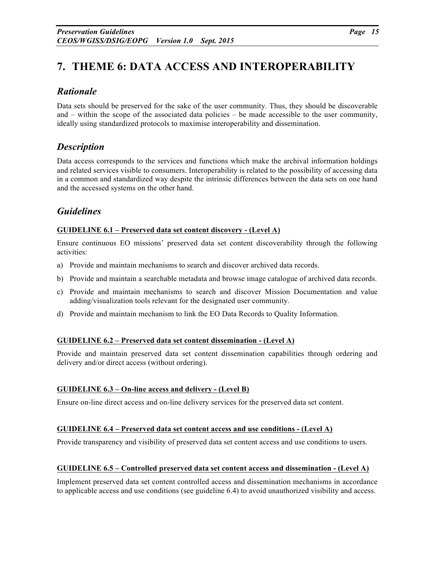# **7. THEME 6: DATA ACCESS AND INTEROPERABILITY**

# *Rationale*

Data sets should be preserved for the sake of the user community. Thus, they should be discoverable and – within the scope of the associated data policies – be made accessible to the user community, ideally using standardized protocols to maximise interoperability and dissemination.

# *Description*

Data access corresponds to the services and functions which make the archival information holdings and related services visible to consumers. Interoperability is related to the possibility of accessing data in a common and standardized way despite the intrinsic differences between the data sets on one hand and the accessed systems on the other hand.

# *Guidelines*

#### **GUIDELINE 6.1 – Preserved data set content discovery - (Level A)**

Ensure continuous EO missions' preserved data set content discoverability through the following activities:

- a) Provide and maintain mechanisms to search and discover archived data records.
- b) Provide and maintain a searchable metadata and browse image catalogue of archived data records.
- c) Provide and maintain mechanisms to search and discover Mission Documentation and value adding/visualization tools relevant for the designated user community.
- d) Provide and maintain mechanism to link the EO Data Records to Quality Information.

#### **GUIDELINE 6.2 – Preserved data set content dissemination - (Level A)**

Provide and maintain preserved data set content dissemination capabilities through ordering and delivery and/or direct access (without ordering).

#### **GUIDELINE 6.3 – On-line access and delivery - (Level B)**

Ensure on-line direct access and on-line delivery services for the preserved data set content.

#### **GUIDELINE 6.4 – Preserved data set content access and use conditions - (Level A)**

Provide transparency and visibility of preserved data set content access and use conditions to users.

#### **GUIDELINE 6.5 – Controlled preserved data set content access and dissemination - (Level A)**

Implement preserved data set content controlled access and dissemination mechanisms in accordance to applicable access and use conditions (see guideline 6.4) to avoid unauthorized visibility and access.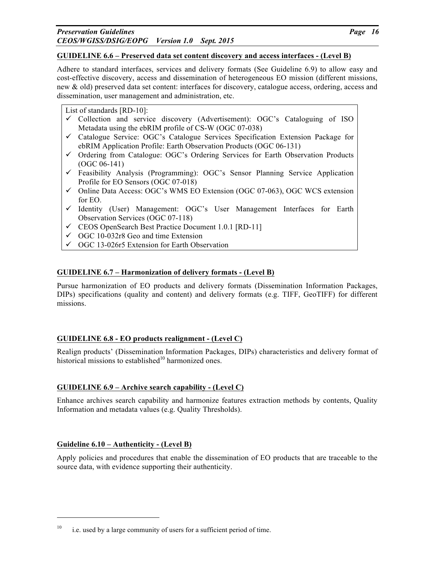#### **GUIDELINE 6.6 – Preserved data set content discovery and access interfaces - (Level B)**

Adhere to standard interfaces, services and delivery formats (See Guideline 6.9) to allow easy and cost-effective discovery, access and dissemination of heterogeneous EO mission (different missions, new & old) preserved data set content: interfaces for discovery, catalogue access, ordering, access and dissemination, user management and administration, etc.

List of standards [RD-10]:

- $\checkmark$  Collection and service discovery (Advertisement): OGC's Cataloguing of ISO Metadata using the ebRIM profile of CS-W (OGC 07-038)
- $\checkmark$  Catalogue Service: OGC's Catalogue Services Specification Extension Package for ebRIM Application Profile: Earth Observation Products (OGC 06-131)
- $\checkmark$  Ordering from Catalogue: OGC's Ordering Services for Earth Observation Products (OGC 06-141)
- $\checkmark$  Feasibility Analysis (Programming): OGC's Sensor Planning Service Application Profile for EO Sensors (OGC 07-018)
- ! Online Data Access: OGC's WMS EO Extension (OGC 07-063), OGC WCS extension for EO.
- ! Identity (User) Management: OGC's User Management Interfaces for Earth Observation Services (OGC 07-118)
- $\checkmark$  CEOS OpenSearch Best Practice Document 1.0.1 [RD-11]
- $\checkmark$  OGC 10-032r8 Geo and time Extension
- $\checkmark$  OGC 13-026r5 Extension for Earth Observation

#### **GUIDELINE 6.7 – Harmonization of delivery formats - (Level B)**

Pursue harmonization of EO products and delivery formats (Dissemination Information Packages, DIPs) specifications (quality and content) and delivery formats (e.g. TIFF, GeoTIFF) for different missions.

#### **GUIDELINE 6.8 - EO products realignment - (Level C)**

Realign products' (Dissemination Information Packages, DIPs) characteristics and delivery format of historical missions to established $10$  harmonized ones.

#### **GUIDELINE 6.9 – Archive search capability - (Level C)**

Enhance archives search capability and harmonize features extraction methods by contents, Quality Information and metadata values (e.g. Quality Thresholds).

#### **Guideline 6.10 – Authenticity - (Level B)**

-

Apply policies and procedures that enable the dissemination of EO products that are traceable to the source data, with evidence supporting their authenticity.

 $10$  i.e. used by a large community of users for a sufficient period of time.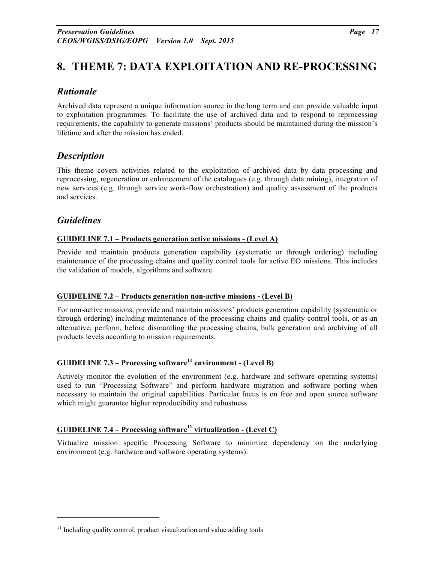# **8. THEME 7: DATA EXPLOITATION AND RE-PROCESSING**

# *Rationale*

Archived data represent a unique information source in the long term and can provide valuable input to exploitation programmes. To facilitate the use of archived data and to respond to reprocessing requirements, the capability to generate missions' products should be maintained during the mission's lifetime and after the mission has ended.

# *Description*

This theme covers activities related to the exploitation of archived data by data processing and reprocessing, regeneration or enhancement of the catalogues (e.g. through data mining), integration of new services (e.g. through service work-flow orchestration) and quality assessment of the products and services.

# *Guidelines*

-

### **GUIDELINE 7.1 – Products generation active missions - (Level A)**

Provide and maintain products generation capability (systematic or through ordering) including maintenance of the processing chains and quality control tools for active EO missions. This includes the validation of models, algorithms and software.

### **GUIDELINE 7.2 – Products generation non-active missions - (Level B)**

For non-active missions, provide and maintain missions' products generation capability (systematic or through ordering) including maintenance of the processing chains and quality control tools, or as an alternative, perform, before dismantling the processing chains, bulk generation and archiving of all products levels according to mission requirements.

# **GUIDELINE 7.3 – Processing software<sup>11</sup> environment - (Level B)**

Actively monitor the evolution of the environment (e.g. hardware and software operating systems) used to run "Processing Software" and perform hardware migration and software porting when necessary to maintain the original capabilities. Particular focus is on free and open source software which might guarantee higher reproducibility and robustness.

# **GUIDELINE 7.4 – Processing software<sup>11</sup> virtualization - (Level C)**

Virtualize mission specific Processing Software to minimize dependency on the underlying environment (e.g. hardware and software operating systems).

 $11$  Including quality control, product visualization and value adding tools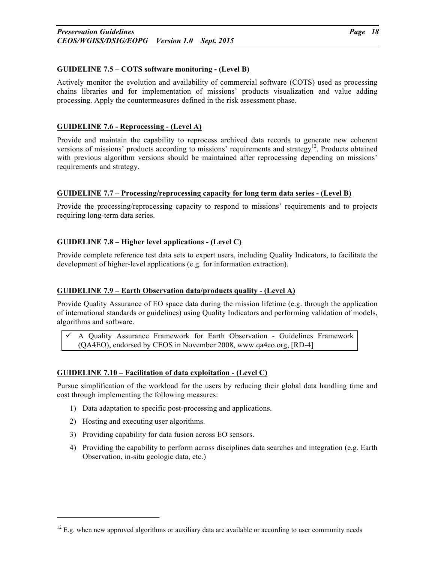#### **GUIDELINE 7.5 – COTS software monitoring - (Level B)**

Actively monitor the evolution and availability of commercial software (COTS) used as processing chains libraries and for implementation of missions' products visualization and value adding processing. Apply the countermeasures defined in the risk assessment phase.

#### **GUIDELINE 7.6 - Reprocessing - (Level A)**

Provide and maintain the capability to reprocess archived data records to generate new coherent versions of missions' products according to missions' requirements and strategy $^{12}$ . Products obtained with previous algorithm versions should be maintained after reprocessing depending on missions' requirements and strategy.

#### **GUIDELINE 7.7 – Processing/reprocessing capacity for long term data series - (Level B)**

Provide the processing/reprocessing capacity to respond to missions' requirements and to projects requiring long-term data series.

#### **GUIDELINE 7.8 – Higher level applications - (Level C)**

Provide complete reference test data sets to expert users, including Quality Indicators, to facilitate the development of higher-level applications (e.g. for information extraction).

#### **GUIDELINE 7.9 – Earth Observation data/products quality - (Level A)**

Provide Quality Assurance of EO space data during the mission lifetime (e.g. through the application of international standards or guidelines) using Quality Indicators and performing validation of models, algorithms and software.

! A Quality Assurance Framework for Earth Observation - Guidelines Framework (QA4EO), endorsed by CEOS in November 2008, www.qa4eo.org, [RD-4]

#### **GUIDELINE 7.10 – Facilitation of data exploitation - (Level C)**

Pursue simplification of the workload for the users by reducing their global data handling time and cost through implementing the following measures:

- 1) Data adaptation to specific post-processing and applications.
- 2) Hosting and executing user algorithms.

-

- 3) Providing capability for data fusion across EO sensors.
- 4) Providing the capability to perform across disciplines data searches and integration (e.g. Earth Observation, in-situ geologic data, etc.)

 $12$  E.g. when new approved algorithms or auxiliary data are available or according to user community needs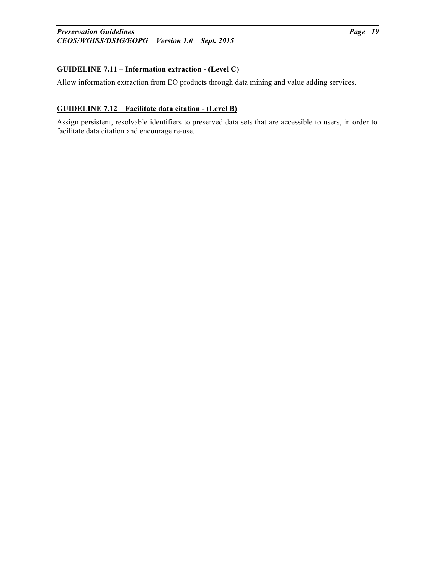### **GUIDELINE 7.11 – Information extraction - (Level C)**

Allow information extraction from EO products through data mining and value adding services.

#### **GUIDELINE 7.12 – Facilitate data citation - (Level B)**

Assign persistent, resolvable identifiers to preserved data sets that are accessible to users, in order to facilitate data citation and encourage re-use.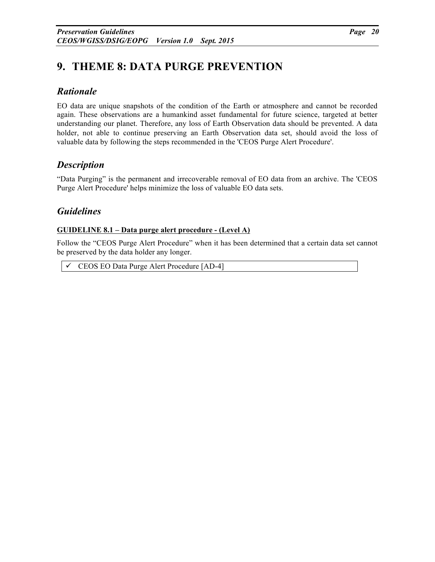# **9. THEME 8: DATA PURGE PREVENTION**

### *Rationale*

EO data are unique snapshots of the condition of the Earth or atmosphere and cannot be recorded again. These observations are a humankind asset fundamental for future science, targeted at better understanding our planet. Therefore, any loss of Earth Observation data should be prevented. A data holder, not able to continue preserving an Earth Observation data set, should avoid the loss of valuable data by following the steps recommended in the 'CEOS Purge Alert Procedure'.

# *Description*

"Data Purging" is the permanent and irrecoverable removal of EO data from an archive. The 'CEOS Purge Alert Procedure' helps minimize the loss of valuable EO data sets.

# *Guidelines*

#### **GUIDELINE 8.1 – Data purge alert procedure - (Level A)**

Follow the "CEOS Purge Alert Procedure" when it has been determined that a certain data set cannot be preserved by the data holder any longer.

! CEOS EO Data Purge Alert Procedure [AD-4]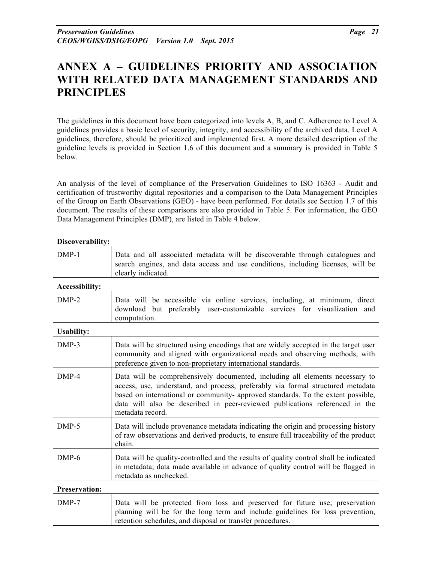# **ANNEX A – GUIDELINES PRIORITY AND ASSOCIATION WITH RELATED DATA MANAGEMENT STANDARDS AND PRINCIPLES**

The guidelines in this document have been categorized into levels A, B, and C. Adherence to Level A guidelines provides a basic level of security, integrity, and accessibility of the archived data. Level A guidelines, therefore, should be prioritized and implemented first. A more detailed description of the guideline levels is provided in Section 1.6 of this document and a summary is provided in Table 5 below.

An analysis of the level of compliance of the Preservation Guidelines to ISO 16363 - Audit and certification of trustworthy digital repositories and a comparison to the Data Management Principles of the Group on Earth Observations (GEO) - have been performed. For details see Section 1.7 of this document. The results of these comparisons are also provided in Table 5. For information, the GEO Data Management Principles (DMP), are listed in Table 4 below.

| Discoverability:      |                                                                                                                                                                                                                                                                                                                                                        |
|-----------------------|--------------------------------------------------------------------------------------------------------------------------------------------------------------------------------------------------------------------------------------------------------------------------------------------------------------------------------------------------------|
| $DMP-1$               | Data and all associated metadata will be discoverable through catalogues and<br>search engines, and data access and use conditions, including licenses, will be<br>clearly indicated.                                                                                                                                                                  |
| <b>Accessibility:</b> |                                                                                                                                                                                                                                                                                                                                                        |
| $DMP-2$               | Data will be accessible via online services, including, at minimum, direct<br>download but preferably user-customizable services for visualization and<br>computation.                                                                                                                                                                                 |
| <b>Usability:</b>     |                                                                                                                                                                                                                                                                                                                                                        |
| $DMP-3$               | Data will be structured using encodings that are widely accepted in the target user<br>community and aligned with organizational needs and observing methods, with<br>preference given to non-proprietary international standards.                                                                                                                     |
| DMP-4                 | Data will be comprehensively documented, including all elements necessary to<br>access, use, understand, and process, preferably via formal structured metadata<br>based on international or community- approved standards. To the extent possible,<br>data will also be described in peer-reviewed publications referenced in the<br>metadata record. |
| $DMP-5$               | Data will include provenance metadata indicating the origin and processing history<br>of raw observations and derived products, to ensure full traceability of the product<br>chain.                                                                                                                                                                   |
| $DMP-6$               | Data will be quality-controlled and the results of quality control shall be indicated<br>in metadata; data made available in advance of quality control will be flagged in<br>metadata as unchecked.                                                                                                                                                   |
| <b>Preservation:</b>  |                                                                                                                                                                                                                                                                                                                                                        |
| $DMP-7$               | Data will be protected from loss and preserved for future use; preservation<br>planning will be for the long term and include guidelines for loss prevention,<br>retention schedules, and disposal or transfer procedures.                                                                                                                             |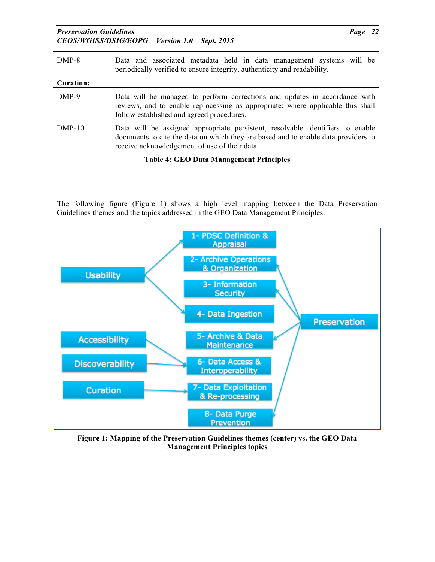*Preservation Guidelines Page 22 CEOS/WGISS/DSIG/EOPG Version 1.0 Sept. 2015*

| $DMP-8$          | Data and associated metadata held in data management systems will be<br>periodically verified to ensure integrity, authenticity and readability.                                                                      |
|------------------|-----------------------------------------------------------------------------------------------------------------------------------------------------------------------------------------------------------------------|
| <b>Curation:</b> |                                                                                                                                                                                                                       |
| DMP-9            | Data will be managed to perform corrections and updates in accordance with<br>reviews, and to enable reprocessing as appropriate; where applicable this shall<br>follow established and agreed procedures.            |
| $DMP-10$         | Data will be assigned appropriate persistent, resolvable identifiers to enable<br>documents to cite the data on which they are based and to enable data providers to<br>receive acknowledgement of use of their data. |

### **Table 4: GEO Data Management Principles**

The following figure (Figure 1) shows a high level mapping between the Data Preservation Guidelines themes and the topics addressed in the GEO Data Management Principles.



**Figure 1: Mapping of the Preservation Guidelines themes (center) vs. the GEO Data Management Principles topics**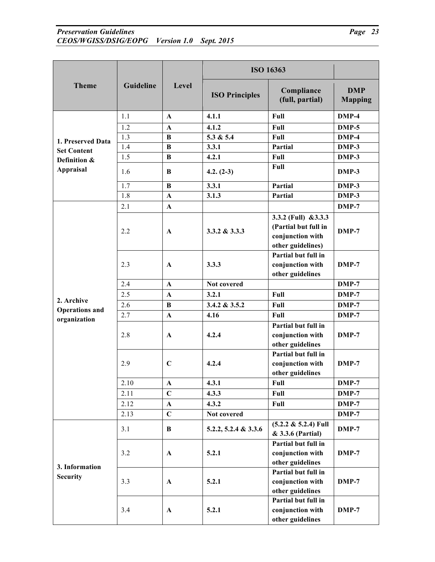#### *Preservation Guidelines CEOS/WGISS/DSIG/EOPG Version 1.0 Sept. 2015*

| <br>aoe |  |
|---------|--|
|         |  |

|                                     |           | Level        | <b>ISO 16363</b>      |                                                                                        |                              |
|-------------------------------------|-----------|--------------|-----------------------|----------------------------------------------------------------------------------------|------------------------------|
| <b>Theme</b>                        | Guideline |              | <b>ISO Principles</b> | Compliance<br>(full, partial)                                                          | <b>DMP</b><br><b>Mapping</b> |
|                                     | 1.1       | $\mathbf{A}$ | 4.1.1                 | Full                                                                                   | DMP-4                        |
|                                     | 1.2       | $\mathbf{A}$ | 4.1.2                 | Full                                                                                   | $DMP-5$                      |
| 1. Preserved Data                   | 1.3       | B            | 5.3 & 5.4             | Full                                                                                   | $DMP-4$                      |
| <b>Set Content</b>                  | 1.4       | B            | 3.3.1                 | Partial                                                                                | DMP-3                        |
| Definition &                        | 1.5       | $\bf{B}$     | 4.2.1                 | Full                                                                                   | DMP-3                        |
| <b>Appraisal</b>                    | 1.6       | B            | $4.2. (2-3)$          | Full                                                                                   | DMP-3                        |
|                                     | 1.7       | B            | 3.3.1                 | Partial                                                                                | DMP-3                        |
|                                     | 1.8       | $\mathbf{A}$ | 3.1.3                 | Partial                                                                                | $DMP-3$                      |
|                                     | 2.1       | $\mathbf{A}$ |                       |                                                                                        | $DMP-7$                      |
|                                     | 2.2       | $\mathbf{A}$ | $3.3.2 \& 3.3.3$      | 3.3.2 (Full) $&3.3.3$<br>(Partial but full in<br>conjunction with<br>other guidelines) | $DMP-7$                      |
|                                     | 2.3       | $\mathbf{A}$ | 3.3.3                 | Partial but full in<br>conjunction with<br>other guidelines                            | $DMP-7$                      |
|                                     | 2.4       | $\mathbf{A}$ | Not covered           |                                                                                        | $DMP-7$                      |
|                                     | 2.5       | $\mathbf{A}$ | 3.2.1                 | Full                                                                                   | $DMP-7$                      |
| 2. Archive<br><b>Operations</b> and | 2.6       | $\bf{B}$     | 3.4.2 & 3.5.2         | Full                                                                                   | $DMP-7$                      |
| organization                        | 2.7       | $\mathbf{A}$ | 4.16                  | Full                                                                                   | DMP-7                        |
|                                     | 2.8       | $\mathbf{A}$ | 4.2.4                 | Partial but full in<br>conjunction with<br>other guidelines                            | $DMP-7$                      |
|                                     | 2.9       | $\mathbf C$  | 4.2.4                 | Partial but full in<br>conjunction with<br>other guidelines                            | $DMP-7$                      |
|                                     | 2.10      | $\mathbf A$  | 4.3.1                 | Full                                                                                   | $DMP-7$                      |
|                                     | 2.11      | $\mathbf C$  | 4.3.3                 | Full                                                                                   | DMP-7                        |
|                                     | 2.12      | $\mathbf{A}$ | 4.3.2                 | Full                                                                                   | $DMP-7$                      |
|                                     | 2.13      | $\mathbf C$  | Not covered           |                                                                                        | $DMP-7$                      |
|                                     | 3.1       | $\bf{B}$     | 5.2.2, 5.2.4 & 3.3.6  | $(5.2.2 \& 5.2.4)$ Full<br>& 3.3.6 (Partial)                                           | $DMP-7$                      |
| 3. Information                      | 3.2       | $\mathbf A$  | 5.2.1                 | Partial but full in<br>conjunction with<br>other guidelines                            | $DMP-7$                      |
| <b>Security</b>                     | 3.3       | $\mathbf A$  | 5.2.1                 | Partial but full in<br>conjunction with<br>other guidelines                            | $DMP-7$                      |
|                                     | 3.4       | $\mathbf{A}$ | 5.2.1                 | Partial but full in<br>conjunction with<br>other guidelines                            | $DMP-7$                      |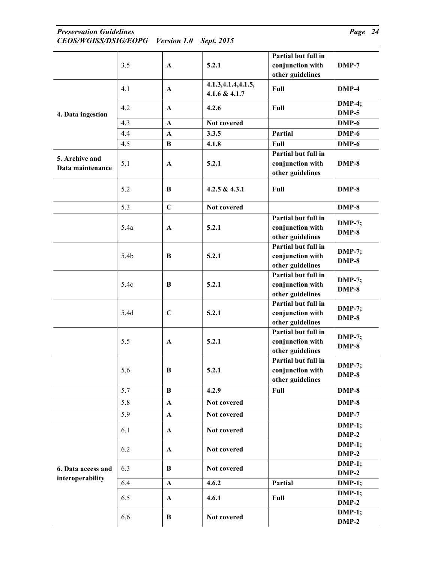### *Preservation Guidelines Page 24 CEOS/WGISS/DSIG/EOPG Version 1.0 Sept. 2015*

|                                    |      |              |                                       | Partial but full in                                         |                          |
|------------------------------------|------|--------------|---------------------------------------|-------------------------------------------------------------|--------------------------|
|                                    | 3.5  | $\mathbf{A}$ | 5.2.1                                 | conjunction with<br>other guidelines                        | $DMP-7$                  |
|                                    | 4.1  | $\mathbf{A}$ | 4.1.3, 4.1.4, 4.1.5,<br>4.1.6 & 4.1.7 | Full                                                        | $DMP-4$                  |
| 4. Data ingestion                  | 4.2  | $\mathbf{A}$ | 4.2.6                                 | Full                                                        | <b>DMP-4;</b><br>$DMP-5$ |
|                                    | 4.3  | $\mathbf{A}$ | Not covered                           |                                                             | $DMP-6$                  |
|                                    | 4.4  | A            | 3.3.5                                 | Partial                                                     | $DMP-6$                  |
|                                    | 4.5  | $\bf{B}$     | 4.1.8                                 | Full                                                        | DMP-6                    |
| 5. Archive and<br>Data maintenance | 5.1  | $\mathbf A$  | 5.2.1                                 | Partial but full in<br>conjunction with<br>other guidelines | DMP-8                    |
|                                    | 5.2  | B            | $4.2.5 \& 4.3.1$                      | Full                                                        | DMP-8                    |
|                                    | 5.3  | $\mathbf C$  | Not covered                           |                                                             | $DMP-8$                  |
|                                    | 5.4a | $\mathbf A$  | 5.2.1                                 | Partial but full in<br>conjunction with<br>other guidelines | <b>DMP-7;</b><br>$DMP-8$ |
|                                    | 5.4b | B            | 5.2.1                                 | Partial but full in<br>conjunction with<br>other guidelines | <b>DMP-7;</b><br>$DMP-8$ |
|                                    | 5.4c | B            | 5.2.1                                 | Partial but full in<br>conjunction with<br>other guidelines | <b>DMP-7;</b><br>$DMP-8$ |
|                                    | 5.4d | $\mathbf C$  | 5.2.1                                 | Partial but full in<br>conjunction with<br>other guidelines | <b>DMP-7;</b><br>DMP-8   |
|                                    | 5.5  | $\mathbf{A}$ | 5.2.1                                 | Partial but full in<br>conjunction with<br>other guidelines | <b>DMP-7;</b><br>DMP-8   |
|                                    | 5.6  | В            | 5.2.1                                 | Partial but full in<br>conjunction with<br>other guidelines | <b>DMP-7;</b><br>DMP-8   |
|                                    | 5.7  | $\bf{B}$     | 4.2.9                                 | Full                                                        | $DMP-8$                  |
|                                    | 5.8  | $\mathbf{A}$ | Not covered                           |                                                             | $DMP-8$                  |
|                                    | 5.9  | $\mathbf{A}$ | Not covered                           |                                                             | $DMP-7$                  |
|                                    | 6.1  | A            | Not covered                           |                                                             | $DMP-1;$<br>$DMP-2$      |
|                                    | 6.2  | $\mathbf{A}$ | Not covered                           |                                                             | $DMP-1;$<br>$DMP-2$      |
| 6. Data access and                 | 6.3  | B            | Not covered                           |                                                             | $DMP-1;$<br>$DMP-2$      |
| interoperability                   | 6.4  | $\mathbf{A}$ | 4.6.2                                 | Partial                                                     | $DMP-1;$                 |
|                                    | 6.5  | $\mathbf A$  | 4.6.1                                 | Full                                                        | $DMP-1;$<br>$DMP-2$      |
|                                    | 6.6  | $\bf{B}$     | Not covered                           |                                                             | $DMP-1;$<br>$DMP-2$      |